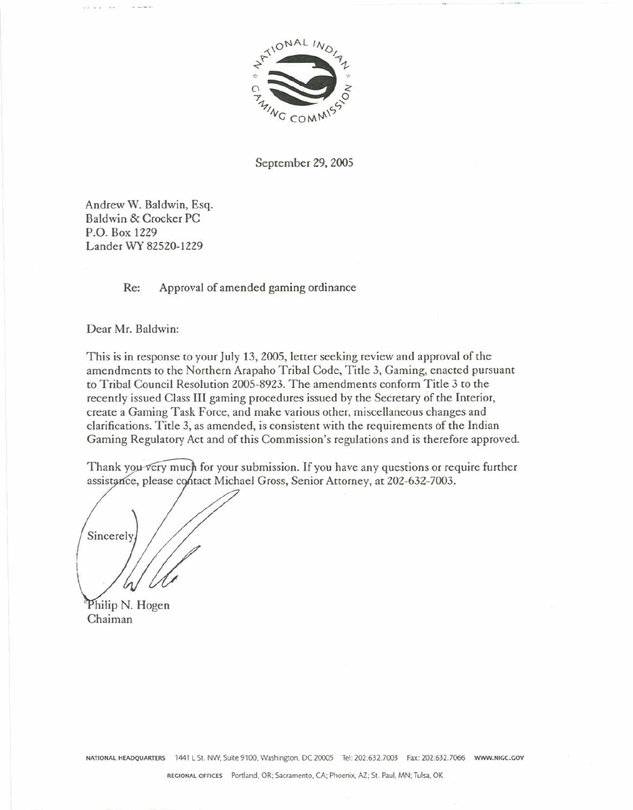

September 29, 2005

**Andrew W. BaIdwin, Esq. Baldwin** & **Crocker PC P.0, Box 1229 Lander WY 82520-1229** 

SS 29 RE

 $\frac{1}{2} \frac{1}{2} \frac{1}{2} \frac{1}{2} \frac{1}{2} \frac{1}{2} \frac{1}{2} \frac{1}{2} \frac{1}{2} \frac{1}{2} \frac{1}{2} \frac{1}{2} \frac{1}{2} \frac{1}{2} \frac{1}{2} \frac{1}{2} \frac{1}{2} \frac{1}{2} \frac{1}{2} \frac{1}{2} \frac{1}{2} \frac{1}{2} \frac{1}{2} \frac{1}{2} \frac{1}{2} \frac{1}{2} \frac{1}{2} \frac{1}{2} \frac{1}{2} \frac{1}{2} \frac{1}{2} \frac{$ 

Re: **Approval of amended gaming ordinance** 

**Dear Mr. Baldwin:** 

**This is in response to your July 13,2005, letter seeking review and approval of the amendments to the Northern Arapaho Tribal Code, Title 3, Gaming, enacted pursuant to Tribal Council Resolution 2005-8923. The amendments conform Title 3 to the recently issued Class III gaming procedures issued by the Secretary of the Interior, create a Gaming Task Force, and make various other, miscellaneous changes and clarifiarions. Title 3, as amended, is consistent with the requirements of the Indian Gaming Regulatory Act and of this Commission's regulations and is therefore approved.** 

Thank you very much for your submission. If you have any questions or require further assistance, please contact Michael Gross, Senior Attorney, at 202-632-7003.

Sincerely

Philip N. Hogen **Chaiman** 

**1** 

**NATIONAL HEADQUARTERS** 1441 L St. NW, Suite 9100, Washington, DC 20005 Tel: 202.632.7003 Fax: 202.632.7066 **www.nicc.cov**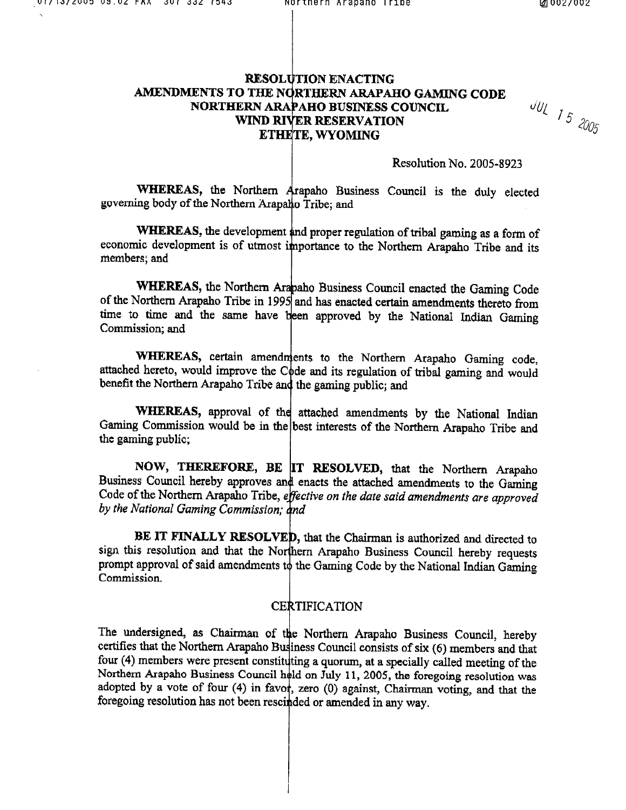## **RESOLUTION ENACTING AMENDMENTS TO ARAPAHO GAMXNG CODE NORTHERN ARAPAHO BUSINESS COUNCIL**  $UU$  15 WIND RIVER RESERVATION ETHETE, WYOMING

## Resolution No. 2005-8923

WHEREAS, the Northern Arapaho Business Council is the duly elected governing body of the Northern Arapaho Tribe; and

**WHEREAS, the development and proper regulation of tribal gaming as a form of** economic development is of utmost importance to the Northern Arapaho Tribe and its members; and **WHEREAS, the Northern Arapaho B** 

**aho** Business **Council** enacted the **Gaming** Code of the Northern Arapaho Tribe in 1995 and has enacted certain amendments thereto from time to time and the same have been approved by the National Indian Gaming Commission; and

WHEREAS, certain amendments to the Northern Arapaho Gaming code, attached hereto, would improve the Code and its regulation of tribal gaming and would benefit the Northern Arapaho Tribe and the gaming public; and

WHEREAS, approval of the attached amendments by the National Indian Gaming Commission would be in the best interests of the Northern Arapaho Tribe and **the gaming public;** 

NOW, THEREFORE, BE IT RESOLVED, that the Northern Arapaho Business Council hereby approves **the** attached **amendments** to the **Gaming**  Code of the Northern Arapaho *the date said* **amendments** *are* **approved**  *by the National Gaming Commission; and* 

BE IT FINALLY RESOLVED, that the Chairman is authorized and directed to sign this resolution and that the Northern Arapaho Business Council hereby requests prompt approval of said amendments to the Gaming Code by the National Indian Gaming **Commission.** 

## **CERTIFICATION**

**The undersigned, as** Chairman **of** Northern Arapaho **Business** Council, hereby certifies that the Northern Arapaho Business Council consists of six (6) members and that four (4) members were present constituting a quorum, at a specially called meeting of the Northern Arapaho Business Council held on July 11, 2005, the foregoing resolution was adopted **by** a vote of four **(0) against, Chairman voting, and that the**  foregoing resolution has not been rescinded or amended in any way.